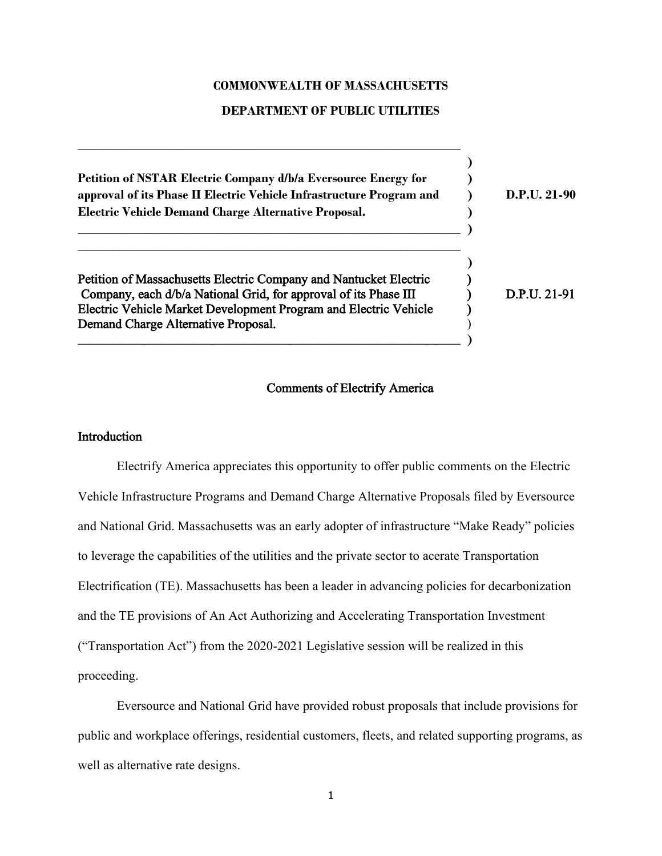### **COMMONWEALTH OF MASSACHUSETTS**

#### **DEPARTMENT OF PUBLIC UTILITIES**

**\_\_\_\_\_\_\_\_\_\_\_\_\_\_\_\_\_\_\_\_\_\_\_\_\_\_\_\_\_\_\_\_\_\_\_\_\_\_\_\_\_\_\_\_\_\_\_\_\_\_\_\_\_\_\_\_\_\_\_**

| Petition of NSTAR Electric Company d/b/a Eversource Energy for<br>approval of its Phase II Electric Vehicle Infrastructure Program and<br>Electric Vehicle Demand Charge Alternative Proposal.                                                   | $D.P.IJ. 21-90$ |
|--------------------------------------------------------------------------------------------------------------------------------------------------------------------------------------------------------------------------------------------------|-----------------|
| Petition of Massachusetts Electric Company and Nantucket Electric<br>Company, each d/b/a National Grid, for approval of its Phase III<br>Electric Vehicle Market Development Program and Electric Vehicle<br>Demand Charge Alternative Proposal. | D.P.U. 21-91    |

# Comments of Electrify America

## **Introduction**

Electrify America appreciates this opportunity to offer public comments on the Electric Vehicle Infrastructure Programs and Demand Charge Alternative Proposals filed by Eversource and National Grid. Massachusetts was an early adopter of infrastructure "Make Ready" policies to leverage the capabilities of the utilities and the private sector to acerate Transportation Electrification (TE). Massachusetts has been a leader in advancing policies for decarbonization and the TE provisions of An Act Authorizing and Accelerating Transportation Investment ("Transportation Act") from the 2020-2021 Legislative session will be realized in this proceeding.

Eversource and National Grid have provided robust proposals that include provisions for public and workplace offerings, residential customers, fleets, and related supporting programs, as well as alternative rate designs.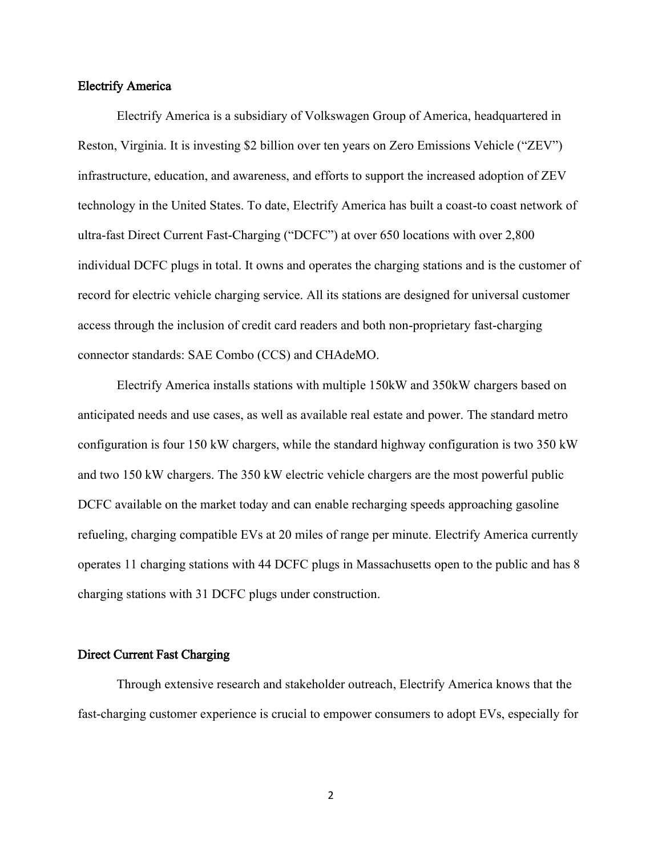#### Electrify America

Electrify America is a subsidiary of Volkswagen Group of America, headquartered in Reston, Virginia. It is investing \$2 billion over ten years on Zero Emissions Vehicle ("ZEV") infrastructure, education, and awareness, and efforts to support the increased adoption of ZEV technology in the United States. To date, Electrify America has built a coast-to coast network of ultra-fast Direct Current Fast-Charging ("DCFC") at over 650 locations with over 2,800 individual DCFC plugs in total. It owns and operates the charging stations and is the customer of record for electric vehicle charging service. All its stations are designed for universal customer access through the inclusion of credit card readers and both non-proprietary fast-charging connector standards: SAE Combo (CCS) and CHAdeMO.

Electrify America installs stations with multiple 150kW and 350kW chargers based on anticipated needs and use cases, as well as available real estate and power. The standard metro configuration is four 150 kW chargers, while the standard highway configuration is two 350 kW and two 150 kW chargers. The 350 kW electric vehicle chargers are the most powerful public DCFC available on the market today and can enable recharging speeds approaching gasoline refueling, charging compatible EVs at 20 miles of range per minute. Electrify America currently operates 11 charging stations with 44 DCFC plugs in Massachusetts open to the public and has 8 charging stations with 31 DCFC plugs under construction.

### Direct Current Fast Charging

Through extensive research and stakeholder outreach, Electrify America knows that the fast-charging customer experience is crucial to empower consumers to adopt EVs, especially for

2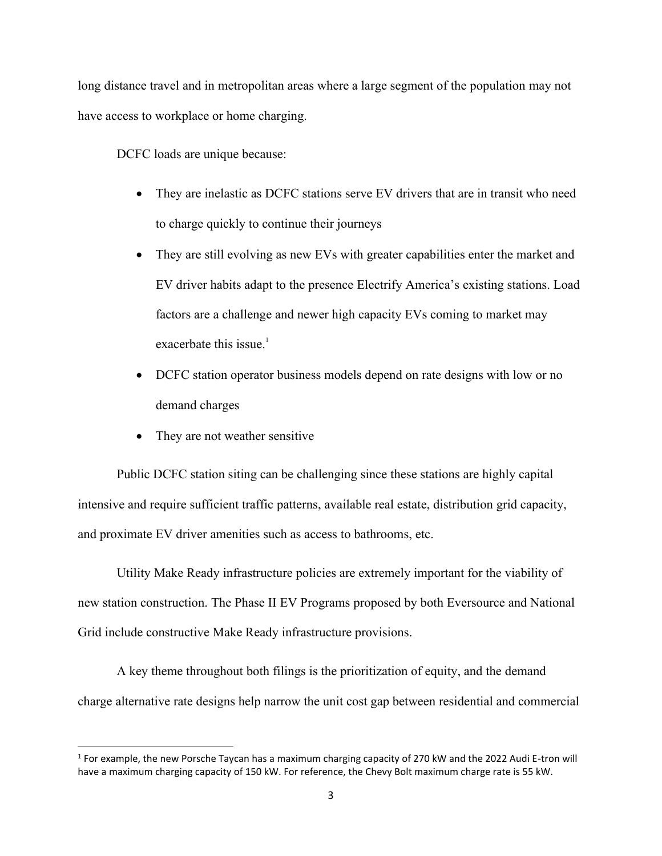long distance travel and in metropolitan areas where a large segment of the population may not have access to workplace or home charging.

DCFC loads are unique because:

- They are inelastic as DCFC stations serve EV drivers that are in transit who need to charge quickly to continue their journeys
- They are still evolving as new EVs with greater capabilities enter the market and EV driver habits adapt to the presence Electrify America's existing stations. Load factors are a challenge and newer high capacity EVs coming to market may exacerbate this issue. $\overline{1}$
- DCFC station operator business models depend on rate designs with low or no demand charges
- They are not weather sensitive

Public DCFC station siting can be challenging since these stations are highly capital intensive and require sufficient traffic patterns, available real estate, distribution grid capacity, and proximate EV driver amenities such as access to bathrooms, etc.

Utility Make Ready infrastructure policies are extremely important for the viability of new station construction. The Phase II EV Programs proposed by both Eversource and National Grid include constructive Make Ready infrastructure provisions.

A key theme throughout both filings is the prioritization of equity, and the demand charge alternative rate designs help narrow the unit cost gap between residential and commercial

<sup>&</sup>lt;sup>1</sup> For example, the new Porsche Taycan has a maximum charging capacity of 270 kW and the 2022 Audi E-tron will have a maximum charging capacity of 150 kW. For reference, the Chevy Bolt maximum charge rate is 55 kW.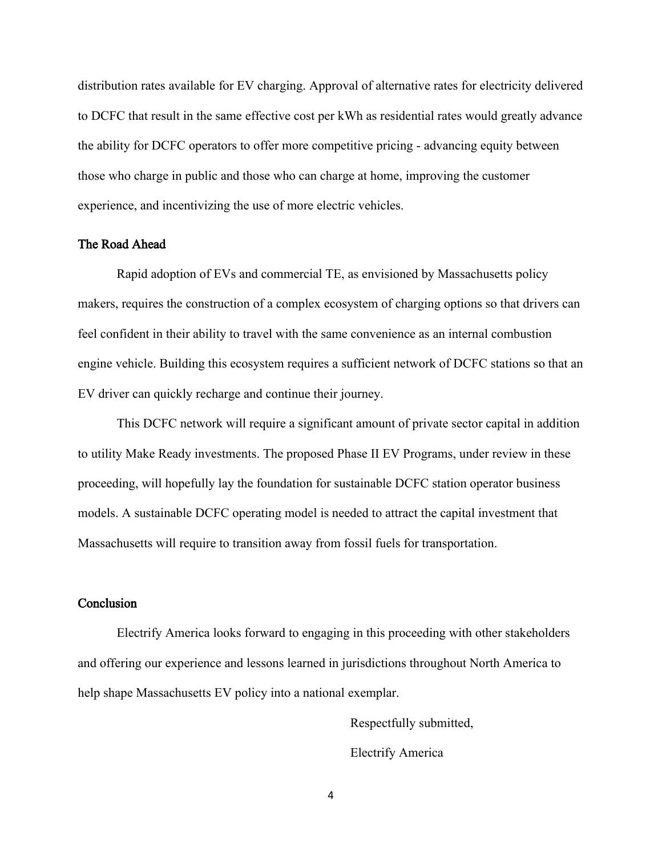distribution rates available for EV charging. Approval of alternative rates for electricity delivered to DCFC that result in the same effective cost per kWh as residential rates would greatly advance the ability for DCFC operators to offer more competitive pricing - advancing equity between those who charge in public and those who can charge at home, improving the customer experience, and incentivizing the use of more electric vehicles.

## The Road Ahead

 Rapid adoption of EVs and commercial TE, as envisioned by Massachusetts policy makers, requires the construction of a complex ecosystem of charging options so that drivers can feel confident in their ability to travel with the same convenience as an internal combustion engine vehicle. Building this ecosystem requires a sufficient network of DCFC stations so that an EV driver can quickly recharge and continue their journey.

This DCFC network will require a significant amount of private sector capital in addition to utility Make Ready investments. The proposed Phase II EV Programs, under review in these proceeding, will hopefully lay the foundation for sustainable DCFC station operator business models. A sustainable DCFC operating model is needed to attract the capital investment that Massachusetts will require to transition away from fossil fuels for transportation.

#### **Conclusion**

Electrify America looks forward to engaging in this proceeding with other stakeholders and offering our experience and lessons learned in jurisdictions throughout North America to help shape Massachusetts EV policy into a national exemplar.

> Respectfully submitted, Electrify America

4